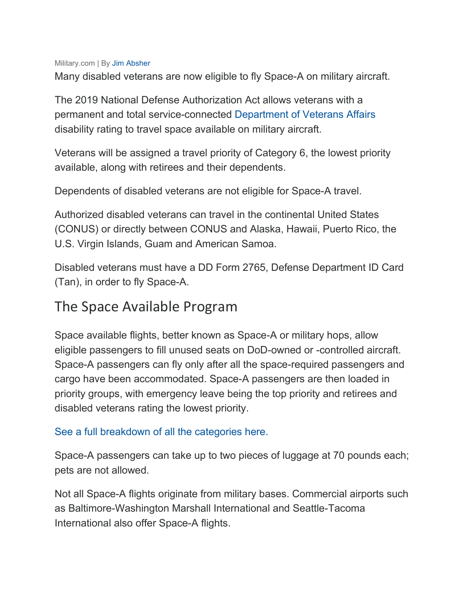## Military.com | By [Jim Absher](https://gcc02.safelinks.protection.outlook.com/?url=https%3A%2F%2Fwww.military.com%2Fauthor%2Fjim-absher&data=02%7C01%7Cmswilliams%40scgov.net%7Ce3e063424cc6428c300008d77cddb0d1%7C9ac90fa4ea4648d79114bbf2fc554d0e%7C0%7C0%7C637115163922728707&sdata=SZPIwT3RySFa02felrsPl0zQVhImA%2BNd3MeZzZuX47o%3D&reserved=0)

Many disabled veterans are now eligible to fly Space-A on military aircraft.

The 2019 National Defense Authorization Act allows veterans with a permanent and total service-connected [Department of Veterans Affairs](https://gcc02.safelinks.protection.outlook.com/?url=http%3A%2F%2Fwww.military.com%2Fbenefits%2Fveteran-benefits&data=02%7C01%7Cmswilliams%40scgov.net%7Ce3e063424cc6428c300008d77cddb0d1%7C9ac90fa4ea4648d79114bbf2fc554d0e%7C0%7C0%7C637115163922738697&sdata=2lrZZfcnWxIT019kZ2vVlxb%2BXHYMZ3OuP1dFt7okR3w%3D&reserved=0) disability rating to travel space available on military aircraft.

Veterans will be assigned a travel priority of Category 6, the lowest priority available, along with retirees and their dependents.

Dependents of disabled veterans are not eligible for Space-A travel.

Authorized disabled veterans can travel in the continental United States (CONUS) or directly between CONUS and Alaska, Hawaii, Puerto Rico, the U.S. Virgin Islands, Guam and American Samoa.

Disabled veterans must have a DD Form 2765, Defense Department ID Card (Tan), in order to fly Space-A.

## The Space Available Program

Space available flights, better known as Space-A or military hops, allow eligible passengers to fill unused seats on DoD-owned or -controlled aircraft. Space-A passengers can fly only after all the space-required passengers and cargo have been accommodated. Space-A passengers are then loaded in priority groups, with emergency leave being the top priority and retirees and disabled veterans rating the lowest priority.

## [See a full breakdown of all the categories here.](https://gcc02.safelinks.protection.outlook.com/?url=https%3A%2F%2Fwww.military.com%2Ftravel%2Fspace-available-flight-eligibility.html&data=02%7C01%7Cmswilliams%40scgov.net%7Ce3e063424cc6428c300008d77cddb0d1%7C9ac90fa4ea4648d79114bbf2fc554d0e%7C0%7C0%7C637115163922738697&sdata=7f344QK4deR8gtfxvTjrTf%2Bdlpx1uaIKWuUWOvNQRxk%3D&reserved=0)

Space-A passengers can take up to two pieces of luggage at 70 pounds each; pets are not allowed.

Not all Space-A flights originate from military bases. Commercial airports such as Baltimore-Washington Marshall International and Seattle-Tacoma International also offer Space-A flights.